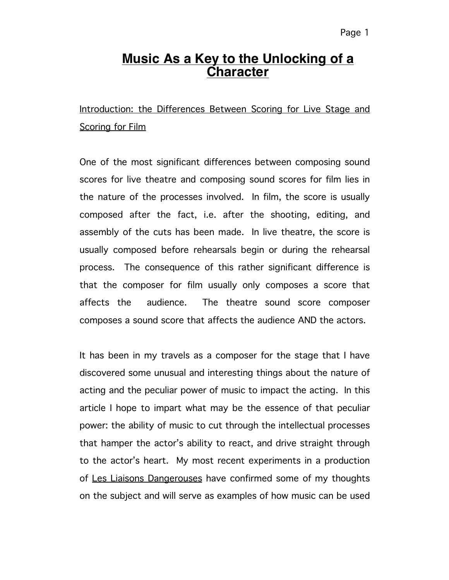### Page 1

## **Music As a Key to the Unlocking of a Character**

Introduction: the Differences Between Scoring for Live Stage and Scoring for Film

One of the most significant differences between composing sound scores for live theatre and composing sound scores for film lies in the nature of the processes involved. In film, the score is usually composed after the fact, i.e. after the shooting, editing, and assembly of the cuts has been made. In live theatre, the score is usually composed before rehearsals begin or during the rehearsal process. The consequence of this rather significant difference is that the composer for film usually only composes a score that affects the audience. The theatre sound score composer composes a sound score that affects the audience AND the actors.

It has been in my travels as a composer for the stage that I have discovered some unusual and interesting things about the nature of acting and the peculiar power of music to impact the acting. In this article I hope to impart what may be the essence of that peculiar power: the ability of music to cut through the intellectual processes that hamper the actor's ability to react, and drive straight through to the actor's heart. My most recent experiments in a production of Les Liaisons Dangerouses have confirmed some of my thoughts on the subject and will serve as examples of how music can be used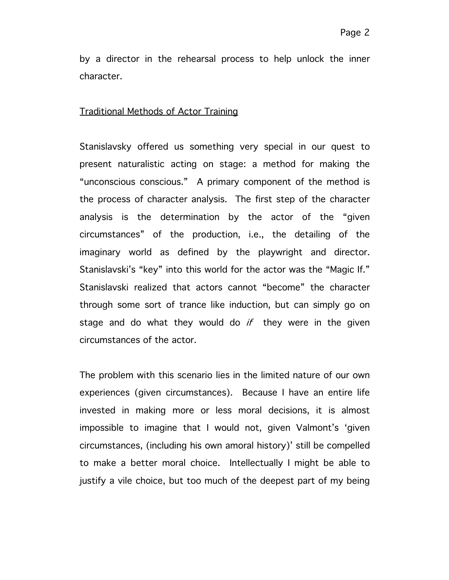by a director in the rehearsal process to help unlock the inner character.

#### Traditional Methods of Actor Training

Stanislavsky offered us something very special in our quest to present naturalistic acting on stage: a method for making the "unconscious conscious." A primary component of the method is the process of character analysis. The first step of the character analysis is the determination by the actor of the "given circumstances" of the production, i.e., the detailing of the imaginary world as defined by the playwright and director. Stanislavski's "key" into this world for the actor was the "Magic If." Stanislavski realized that actors cannot "become" the character through some sort of trance like induction, but can simply go on stage and do what they would do  $if$  they were in the given circumstances of the actor.

The problem with this scenario lies in the limited nature of our own experiences (given circumstances). Because I have an entire life invested in making more or less moral decisions, it is almost impossible to imagine that I would not, given Valmont's 'given circumstances, (including his own amoral history)' still be compelled to make a better moral choice. Intellectually I might be able to justify a vile choice, but too much of the deepest part of my being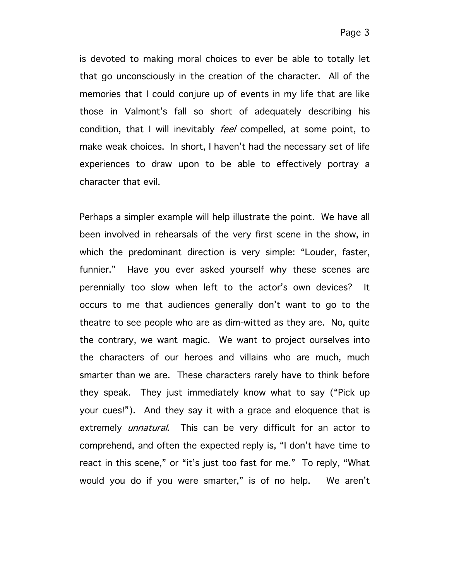is devoted to making moral choices to ever be able to totally let that go unconsciously in the creation of the character. All of the memories that I could conjure up of events in my life that are like those in Valmont's fall so short of adequately describing his condition, that I will inevitably *feel* compelled, at some point, to make weak choices. In short, I haven't had the necessary set of life experiences to draw upon to be able to effectively portray a character that evil.

Perhaps a simpler example will help illustrate the point. We have all been involved in rehearsals of the very first scene in the show, in which the predominant direction is very simple: "Louder, faster, funnier." Have you ever asked yourself why these scenes are perennially too slow when left to the actor's own devices? It occurs to me that audiences generally don't want to go to the theatre to see people who are as dim-witted as they are. No, quite the contrary, we want magic. We want to project ourselves into the characters of our heroes and villains who are much, much smarter than we are. These characters rarely have to think before they speak. They just immediately know what to say ("Pick up your cues!"). And they say it with a grace and eloquence that is extremely *unnatural*. This can be very difficult for an actor to comprehend, and often the expected reply is, "I don't have time to react in this scene," or "it's just too fast for me." To reply, "What would you do if you were smarter," is of no help. We aren't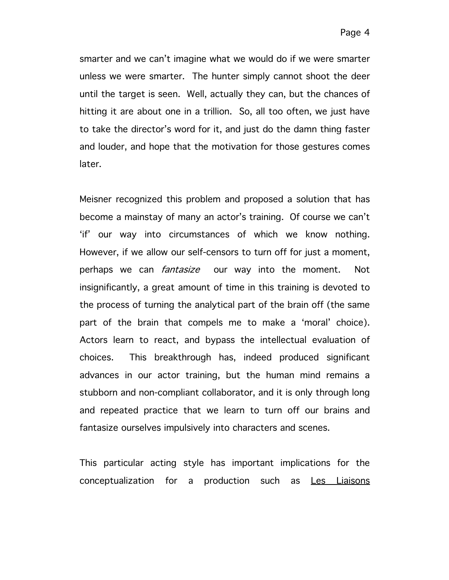smarter and we can't imagine what we would do if we were smarter unless we were smarter. The hunter simply cannot shoot the deer until the target is seen. Well, actually they can, but the chances of hitting it are about one in a trillion. So, all too often, we just have to take the director's word for it, and just do the damn thing faster and louder, and hope that the motivation for those gestures comes later.

Meisner recognized this problem and proposed a solution that has become a mainstay of many an actor's training. Of course we can't 'if' our way into circumstances of which we know nothing. However, if we allow our self-censors to turn off for just a moment, perhaps we can *fantasize* our way into the moment. Not insignificantly, a great amount of time in this training is devoted to the process of turning the analytical part of the brain off (the same part of the brain that compels me to make a 'moral' choice). Actors learn to react, and bypass the intellectual evaluation of choices. This breakthrough has, indeed produced significant advances in our actor training, but the human mind remains a stubborn and non-compliant collaborator, and it is only through long and repeated practice that we learn to turn off our brains and fantasize ourselves impulsively into characters and scenes.

This particular acting style has important implications for the conceptualization for a production such as Les Liaisons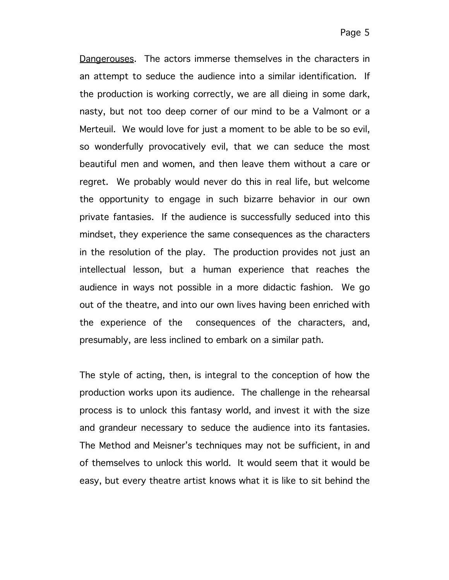Dangerouses. The actors immerse themselves in the characters in an attempt to seduce the audience into a similar identification. If the production is working correctly, we are all dieing in some dark, nasty, but not too deep corner of our mind to be a Valmont or a Merteuil. We would love for just a moment to be able to be so evil, so wonderfully provocatively evil, that we can seduce the most beautiful men and women, and then leave them without a care or regret. We probably would never do this in real life, but welcome the opportunity to engage in such bizarre behavior in our own private fantasies. If the audience is successfully seduced into this mindset, they experience the same consequences as the characters in the resolution of the play. The production provides not just an intellectual lesson, but a human experience that reaches the audience in ways not possible in a more didactic fashion. We go out of the theatre, and into our own lives having been enriched with the experience of the consequences of the characters, and, presumably, are less inclined to embark on a similar path.

The style of acting, then, is integral to the conception of how the production works upon its audience. The challenge in the rehearsal process is to unlock this fantasy world, and invest it with the size and grandeur necessary to seduce the audience into its fantasies. The Method and Meisner's techniques may not be sufficient, in and of themselves to unlock this world. It would seem that it would be easy, but every theatre artist knows what it is like to sit behind the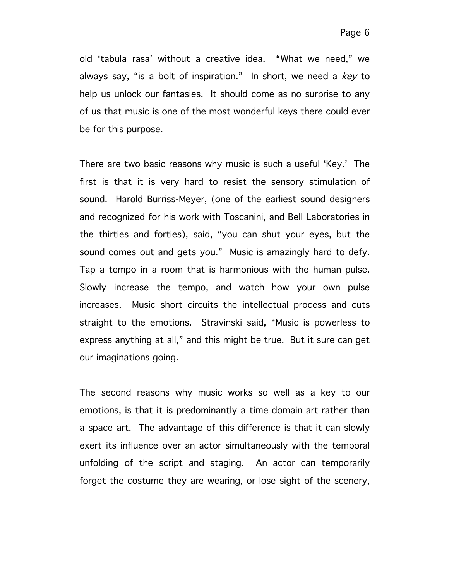old 'tabula rasa' without a creative idea. "What we need," we always say, "is a bolt of inspiration." In short, we need a  $key$  to help us unlock our fantasies. It should come as no surprise to any of us that music is one of the most wonderful keys there could ever be for this purpose.

There are two basic reasons why music is such a useful 'Key.' The first is that it is very hard to resist the sensory stimulation of sound. Harold Burriss-Meyer, (one of the earliest sound designers and recognized for his work with Toscanini, and Bell Laboratories in the thirties and forties), said, "you can shut your eyes, but the sound comes out and gets you." Music is amazingly hard to defy. Tap a tempo in a room that is harmonious with the human pulse. Slowly increase the tempo, and watch how your own pulse increases. Music short circuits the intellectual process and cuts straight to the emotions. Stravinski said, "Music is powerless to express anything at all," and this might be true. But it sure can get our imaginations going.

The second reasons why music works so well as a key to our emotions, is that it is predominantly a time domain art rather than a space art. The advantage of this difference is that it can slowly exert its influence over an actor simultaneously with the temporal unfolding of the script and staging. An actor can temporarily forget the costume they are wearing, or lose sight of the scenery,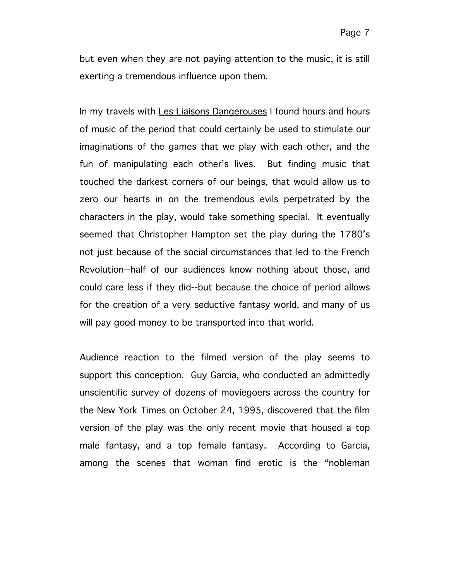but even when they are not paying attention to the music, it is still exerting a tremendous influence upon them.

In my travels with Les Liaisons Dangerouses I found hours and hours of music of the period that could certainly be used to stimulate our imaginations of the games that we play with each other, and the fun of manipulating each other's lives. But finding music that touched the darkest corners of our beings, that would allow us to zero our hearts in on the tremendous evils perpetrated by the characters in the play, would take something special. It eventually seemed that Christopher Hampton set the play during the 1780's not just because of the social circumstances that led to the French Revolution--half of our audiences know nothing about those, and could care less if they did--but because the choice of period allows for the creation of a very seductive fantasy world, and many of us will pay good money to be transported into that world.

Audience reaction to the filmed version of the play seems to support this conception. Guy Garcia, who conducted an admittedly unscientific survey of dozens of moviegoers across the country for the New York Times on October 24, 1995, discovered that the film version of the play was the only recent movie that housed a top male fantasy, and a top female fantasy. According to Garcia, among the scenes that woman find erotic is the "nobleman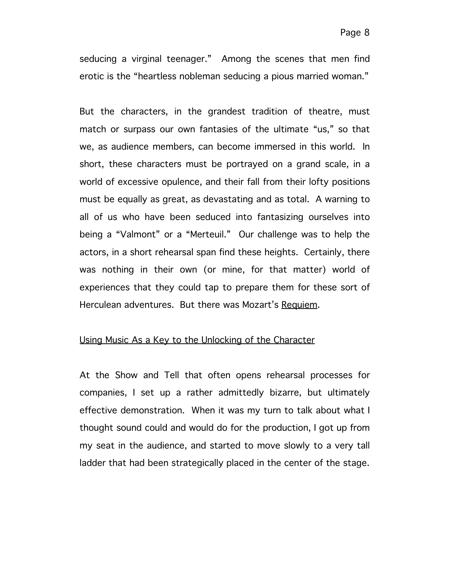seducing a virginal teenager." Among the scenes that men find erotic is the "heartless nobleman seducing a pious married woman."

But the characters, in the grandest tradition of theatre, must match or surpass our own fantasies of the ultimate "us," so that we, as audience members, can become immersed in this world. In short, these characters must be portrayed on a grand scale, in a world of excessive opulence, and their fall from their lofty positions must be equally as great, as devastating and as total. A warning to all of us who have been seduced into fantasizing ourselves into being a "Valmont" or a "Merteuil." Our challenge was to help the actors, in a short rehearsal span find these heights. Certainly, there was nothing in their own (or mine, for that matter) world of experiences that they could tap to prepare them for these sort of Herculean adventures. But there was Mozart's Requiem.

### Using Music As a Key to the Unlocking of the Character

At the Show and Tell that often opens rehearsal processes for companies, I set up a rather admittedly bizarre, but ultimately effective demonstration. When it was my turn to talk about what I thought sound could and would do for the production, I got up from my seat in the audience, and started to move slowly to a very tall ladder that had been strategically placed in the center of the stage.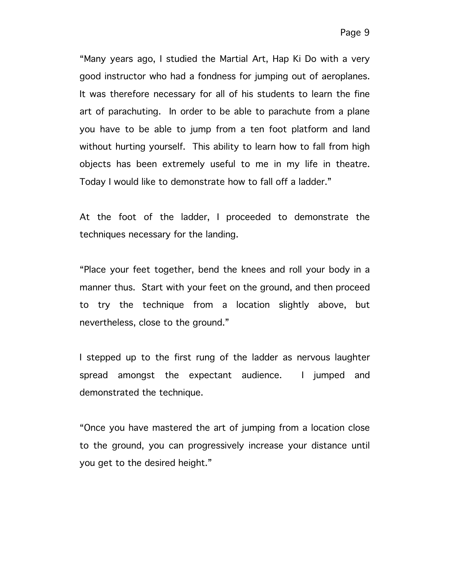"Many years ago, I studied the Martial Art, Hap Ki Do with a very good instructor who had a fondness for jumping out of aeroplanes. It was therefore necessary for all of his students to learn the fine art of parachuting. In order to be able to parachute from a plane you have to be able to jump from a ten foot platform and land without hurting yourself. This ability to learn how to fall from high objects has been extremely useful to me in my life in theatre. Today I would like to demonstrate how to fall off a ladder."

At the foot of the ladder, I proceeded to demonstrate the techniques necessary for the landing.

"Place your feet together, bend the knees and roll your body in a manner thus. Start with your feet on the ground, and then proceed to try the technique from a location slightly above, but nevertheless, close to the ground."

I stepped up to the first rung of the ladder as nervous laughter spread amongst the expectant audience. I jumped and demonstrated the technique.

"Once you have mastered the art of jumping from a location close to the ground, you can progressively increase your distance until you get to the desired height."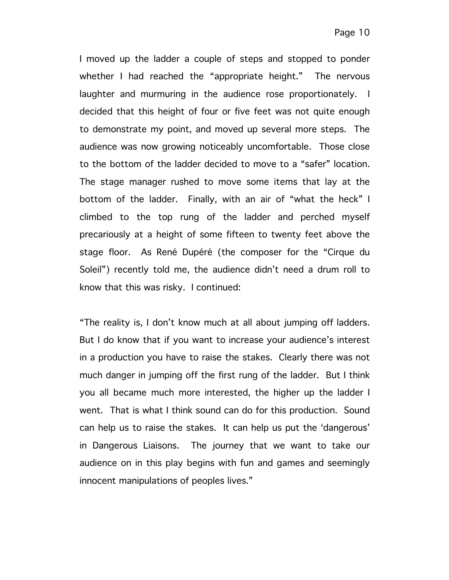I moved up the ladder a couple of steps and stopped to ponder whether I had reached the "appropriate height." The nervous laughter and murmuring in the audience rose proportionately. I decided that this height of four or five feet was not quite enough to demonstrate my point, and moved up several more steps. The audience was now growing noticeably uncomfortable. Those close to the bottom of the ladder decided to move to a "safer" location. The stage manager rushed to move some items that lay at the bottom of the ladder. Finally, with an air of "what the heck" I climbed to the top rung of the ladder and perched myself precariously at a height of some fifteen to twenty feet above the stage floor. As René Dupéré (the composer for the "Cirque du Soleil") recently told me, the audience didn't need a drum roll to know that this was risky. I continued:

"The reality is, I don't know much at all about jumping off ladders. But I do know that if you want to increase your audience's interest in a production you have to raise the stakes. Clearly there was not much danger in jumping off the first rung of the ladder. But I think you all became much more interested, the higher up the ladder I went. That is what I think sound can do for this production. Sound can help us to raise the stakes. It can help us put the 'dangerous' in Dangerous Liaisons. The journey that we want to take our audience on in this play begins with fun and games and seemingly innocent manipulations of peoples lives."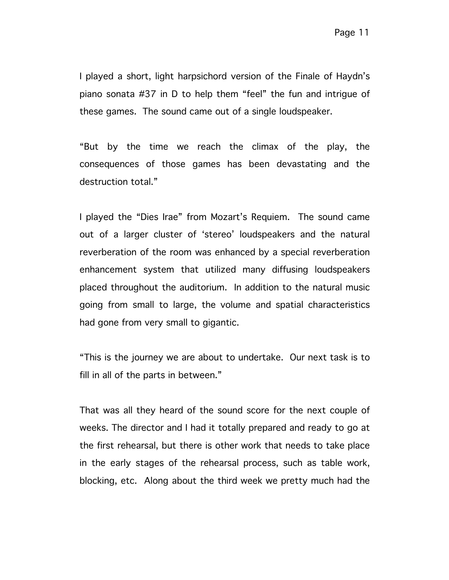I played a short, light harpsichord version of the Finale of Haydn's piano sonata #37 in D to help them "feel" the fun and intrigue of these games. The sound came out of a single loudspeaker.

"But by the time we reach the climax of the play, the consequences of those games has been devastating and the destruction total."

I played the "Dies Irae" from Mozart's Requiem. The sound came out of a larger cluster of 'stereo' loudspeakers and the natural reverberation of the room was enhanced by a special reverberation enhancement system that utilized many diffusing loudspeakers placed throughout the auditorium. In addition to the natural music going from small to large, the volume and spatial characteristics had gone from very small to gigantic.

"This is the journey we are about to undertake. Our next task is to fill in all of the parts in between."

That was all they heard of the sound score for the next couple of weeks. The director and I had it totally prepared and ready to go at the first rehearsal, but there is other work that needs to take place in the early stages of the rehearsal process, such as table work, blocking, etc. Along about the third week we pretty much had the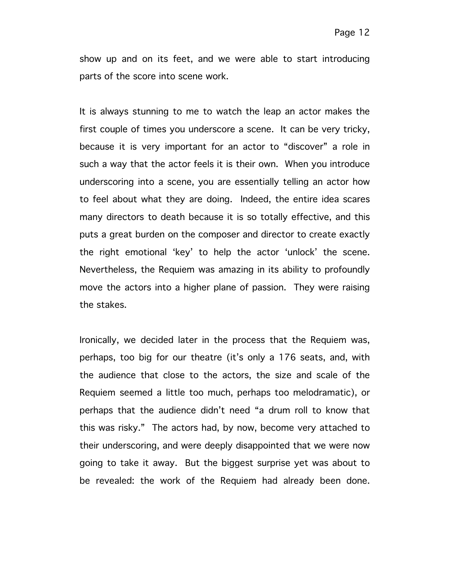show up and on its feet, and we were able to start introducing parts of the score into scene work.

It is always stunning to me to watch the leap an actor makes the first couple of times you underscore a scene. It can be very tricky, because it is very important for an actor to "discover" a role in such a way that the actor feels it is their own. When you introduce underscoring into a scene, you are essentially telling an actor how to feel about what they are doing. Indeed, the entire idea scares many directors to death because it is so totally effective, and this puts a great burden on the composer and director to create exactly the right emotional 'key' to help the actor 'unlock' the scene. Nevertheless, the Requiem was amazing in its ability to profoundly move the actors into a higher plane of passion. They were raising the stakes.

Ironically, we decided later in the process that the Requiem was, perhaps, too big for our theatre (it's only a 176 seats, and, with the audience that close to the actors, the size and scale of the Requiem seemed a little too much, perhaps too melodramatic), or perhaps that the audience didn't need "a drum roll to know that this was risky." The actors had, by now, become very attached to their underscoring, and were deeply disappointed that we were now going to take it away. But the biggest surprise yet was about to be revealed: the work of the Requiem had already been done.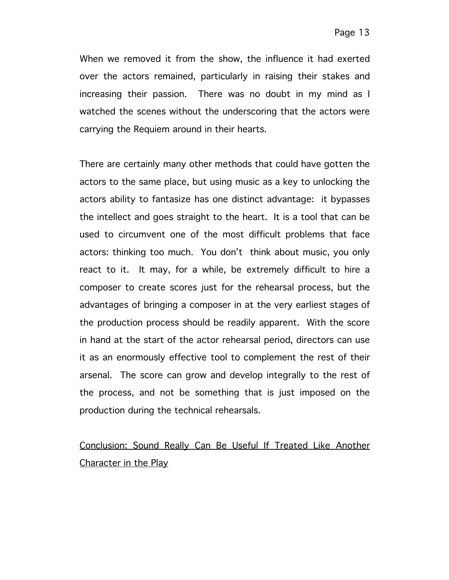When we removed it from the show, the influence it had exerted over the actors remained, particularly in raising their stakes and increasing their passion. There was no doubt in my mind as I watched the scenes without the underscoring that the actors were carrying the Requiem around in their hearts.

There are certainly many other methods that could have gotten the actors to the same place, but using music as a key to unlocking the actors ability to fantasize has one distinct advantage: it bypasses the intellect and goes straight to the heart. It is a tool that can be used to circumvent one of the most difficult problems that face actors: thinking too much. You don't think about music, you only react to it. It may, for a while, be extremely difficult to hire a composer to create scores just for the rehearsal process, but the advantages of bringing a composer in at the very earliest stages of the production process should be readily apparent. With the score in hand at the start of the actor rehearsal period, directors can use it as an enormously effective tool to complement the rest of their arsenal. The score can grow and develop integrally to the rest of the process, and not be something that is just imposed on the production during the technical rehearsals.

# Conclusion: Sound Really Can Be Useful If Treated Like Another Character in the Play